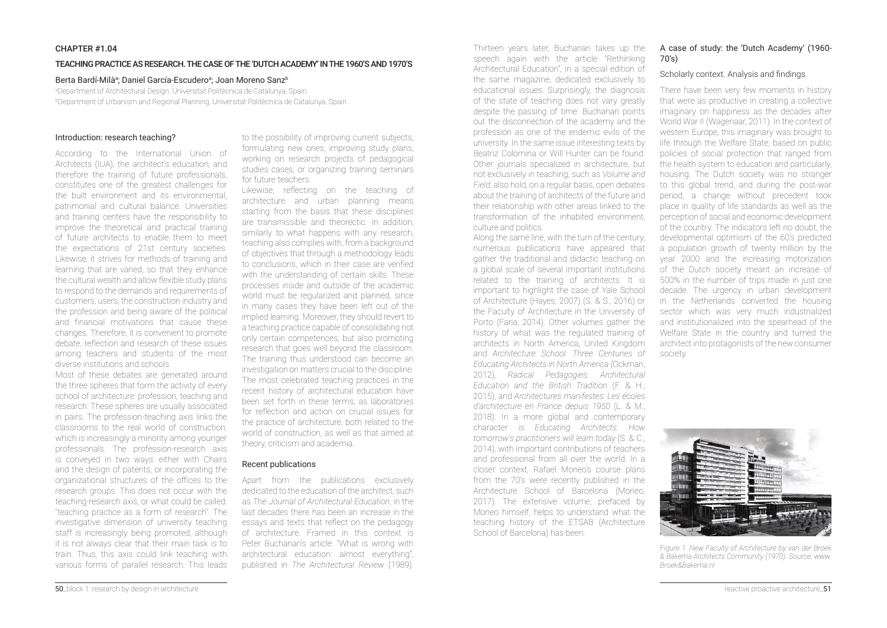## CHAPTER #1.04

#### TEACHING PRACTICE AS RESEARCH. THE CASE OF THE 'DUTCH ACADEMY' IN THE 1960'S AND 1970'S

## Berta Bardí-Milàa; Daniel García-Escuderoa; Joan Moreno Sanz<sup>b</sup>

aDepartment of Architectural Design, Universitat Politècnica de Catalunya, Spain. **Department of Urbanism and Regional Planning, Universitat Politècnica de Catalunya, Spain.** 

#### Introduction: research teaching?

According to the International Union of Architects (IUA), the architect's education, and therefore the training of future professionals, constitutes one of the greatest challenges for the built environment and its environmental, patrimonial and cultural balance. Universities and training centers have the responsibility to improve the theoretical and practical training of future architects to enable them to meet the expectations of 21st century societies. Likewise, it strives for methods of training and learning that are varied, so that they enhance the cultural wealth and allow flexible study plans to respond to the demands and requirements of customers, users, the construction industry and the profession and being aware of the political and financial motivations that cause these changes. Therefore, it is convenient to promote debate, reflection and research of these issues among teachers and students of the most diverse institutions and schools.

Most of these debates are generated around the three spheres that form the activity of every school of architecture: profession, teaching and research. These spheres are usually associated in pairs. The profession-teaching axis links the classrooms to the real world of construction, which is increasingly a minority among younger professionals. The profession-research axis is conveyed in two ways: either with Chairs and the design of patents; or incorporating the organizational structures of the offices to the research groups. This does not occur with the teaching-research axis, or what could be called: "teaching practice as a form of research". The investigative dimension of university teaching staff is increasingly being promoted, although it is not always clear that their main task is to train. Thus, this axis could link teaching with various forms of parallel research. This leads

to the possibility of improving current subjects, formulating new ones, improving study plans, working on research projects of pedagogical studies cases, or organizing training seminars for future teachers.

Likewise, reflecting on the teaching of architecture and urban planning means starting from the basis that these disciplines are transmissible and theorectic. In addition, similarly to what happens with any research, teaching also complies with, from a background of objectives that through a methodology leads to conclusions, which in their case are verified with the understanding of certain skills. These processes inside and outside of the academic world must be regularized and planned, since in many cases they have been left out of the implied learning. Moreover, they should revert to a teaching practice capable of consolidating not only certain competences, but also promoting research that goes well beyond the classroom. The training thus understood can become an investigation on matters crucial to the discipline. The most celebrated teaching practices in the recent history of architectural education have been set forth in these terms, as laboratories for reflection and action on crucial issues for the practice of architecture, both related to the world of construction, as well as that aimed at theory, criticism and academia.

# Recent publications

Apart from the publications exclusively dedicated to the education of the architect, such as *The Journal of Architectural Fducation*, in the last decades there has been an increase in the essays and texts that reflect on the pedagogy of architecture. Framed in this context is Peter Buchanan's article: "What is wrong with architectural education: almost everything", published in *The Architectural Review* (1989).

Thirteen years later, Buchanan takes up the speech again with the article "Rethinking Architectural Education", in a special edition of the same magazine, dedicated exclusively to educational issues. Surprisingly, the diagnosis of the state of teaching does not vary greatly despite the passing of time. Buchanan points out the disconnection of the academy and the profession as one of the endemic evils of the university. In the same issue interesting texts by Beatriz Colomina or Will Hunter can be found. Other journals specialized in architecture, but not exclusively in teaching, such as *Volume and Field*, also hold, on a regular basis, open debates about the training of architects of the future and their relationship with other areas linked to the transformation of the inhabited environment, culture and politics.

Along the same line, with the turn of the century, numerous publications have appeared that gather the traditional and didactic teaching on a global scale of several important institutions related to the training of architects. It is important to highlight the case of Yale School of Architecture (Hayes, 2007) (S. & S., 2016) or the Faculty of Architecture in the University of Porto (Faria, 2014). Other volumes gather the history of what was the regulated training of architects in North America, United Kingdom and *Architecture School: Three Centuries of Educating Architects in North America* (Ockman, 2012), *Radical Pedagogies: Architectural Education and the British Tradition* (F. & H., 2015), and *Architectures manifestes*: Les écoles *d'architecture en France depuis 1950 (L. & M.,* 2018). In a more global and contemporary character is *Educating Architects*: *How tomorrow's practitioners will learn today* (S. & C., 2014), with important contributions of teachers and professional from all over the world. In a closer context, Rafael Moneo's course plans from the 70's were recently published in the Architecture School of Barcelona (Moneo, 2017). The extensive volume, prefaced by Moneo himself, helps to understand what the teaching history of the ETSAB (Architecture School of Barcelona) has been.

# A case of study: the 'Dutch Academy' (1960- 70's)

#### Scholarly context. Analysis and findings

There have been very few moments in history that were as productive in creating a collective imaginary on happiness as the decades after World War II (Wagenaar, 2011). In the context of western Europe, this imaginary was brought to life through the Welfare State, based on public policies of social protection that ranged from the health system to education and particularly, housing. The Dutch society was no stranger to this global trend, and during the post-war period, a change without precedent took place in quality of life standards as well as the perception of social and economic development of the country. The indicators left no doubt, the developmental optimism of the 60's predicted a population growth of twenty million by the year 2000 and the increasing motorization of the Dutch society meant an increase of 500% in the number of trips made in just one decade. The urgency in urban development in the Netherlands converted the housing sector which was very much industrialized and institutionalized into the spearhead of the Welfare State in the country and turned the architect into protagonists of the new consumer society.



*Figure 1. New Faculty of Architecture by van der Broek*  & Bakema Architects Community (1970). Source: www. *Broek&Bakema.nl*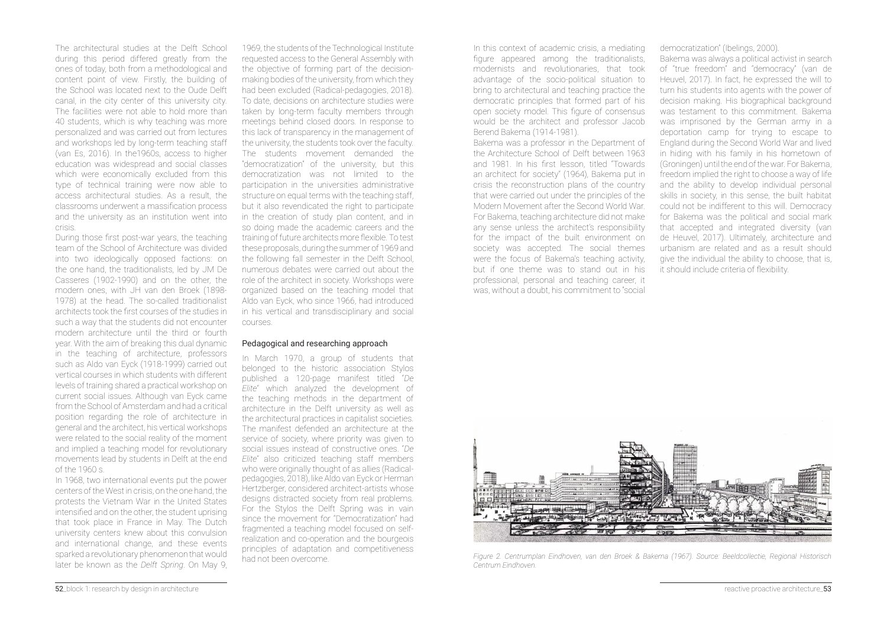The architectural studies at the Delft School during this period differed greatly from the ones of today, both from a methodological and content point of view. Firstly, the building of the School was located next to the Oude Delft canal, in the city center of this university city. The facilities were not able to hold more than 40 students, which is why teaching was more personalized and was carried out from lectures and workshops led by long-term teaching staff (van Es, 2016). In the1960s, access to higher education was widespread and social classes which were economically excluded from this type of technical training were now able to access architectural studies. As a result, the classrooms underwent a massification process and the university as an institution went into crisis.

During those first post-war years, the teaching team of the School of Architecture was divided into two ideologically opposed factions: on the one hand, the traditionalists, led by JM De Casseres (1902-1990) and on the other, the modern ones, with JH van den Broek (1898- 1978) at the head. The so-called traditionalist architects took the first courses of the studies in such a way that the students did not encounter modern architecture until the third or fourth year. With the aim of breaking this dual dynamic in the teaching of architecture, professors such as Aldo van Eyck (1918-1999) carried out vertical courses in which students with different levels of training shared a practical workshop on current social issues. Although van Eyck came from the School of Amsterdam and had a critical position regarding the role of architecture in general and the architect, his vertical workshops were related to the social reality of the moment and implied a teaching model for revolutionary movements lead by students in Delft at the end of the 1960 s.

In 1968, two international events put the power centers of the West in crisis, on the one hand, the protests the Vietnam War in the United States intensified and on the other the student unrising that took place in France in May. The Dutch university centers knew about this convulsion and international change, and these events sparked a revolutionary phenomenon that would later be known as the *Delft Spring*. On May 9,

1969, the students of the Technological Institute requested access to the General Assembly with the objective of forming part of the decisionmaking bodies of the university, from which they had been excluded (Radical-pedagogies, 2018). To date, decisions on architecture studies were taken by long-term faculty members through meetings behind closed doors. In response to this lack of transparency in the management of the university, the students took over the faculty. The students movement demanded the "democratization" of the university, but this democratization was not limited to the participation in the universities administrative structure on equal terms with the teaching staff, but it also revendicated the right to participate in the creation of study plan content, and in so doing made the academic careers and the training of future architects more flexible. To test these proposals, during the summer of 1969 and the following fall semester in the Delft School, numerous debates were carried out about the role of the architect in society. Workshops were organized based on the teaching model that Aldo van Eyck, who since 1966, had introduced in his vertical and transdisciplinary and social courses.

#### Pedagogical and researching approach

In March 1970, a group of students that belonged to the historic association Stylos published a 120-page manifest titled "De *Elite*" which analyzed the development of the teaching methods in the department of architecture in the Delft university as well as the architectural practices in capitalist societies. The manifest defended an architecture at the service of society, where priority was given to social issues instead of constructive ones. "De *Elite*" also criticized teaching staff members who were originally thought of as allies (Radicalpedagogies, 2018), like Aldo van Eyck or Herman Hertzberger, considered architect-artists whose designs distracted society from real problems. For the Stylos the Delft Spring was in vain since the movement for "Democratization" had fragmented a teaching model focused on selfrealization and co-operation and the bourgeois principles of adaptation and competitiveness had not been overcome.

In this context of academic crisis, a mediating figure appeared among the traditionalists. modernists and revolutionaries, that took advantage of the socio-political situation to bring to architectural and teaching practice the democratic principles that formed part of his open society model. This figure of consensus would be the architect and professor Jacob Berend Bakema (1914-1981).

Bakema was a professor in the Department of the Architecture School of Delft between 1963 and 1981. In his first lesson, titled "Towards" an architect for society" (1964), Bakema put in crisis the reconstruction plans of the country that were carried out under the principles of the Modern Movement after the Second World War. For Bakema, teaching architecture did not make any sense unless the architect's responsibility for the impact of the built environment on society was accepted. The social themes were the focus of Bakema's teaching activity, but if one theme was to stand out in his professional, personal and teaching career, it was without a doubt his commitment to "social

democratization" (Ibelings, 2000).

Bakema was always a political activist in search of "true freedom" and "democracy" (van de Heuvel, 2017). In fact, he expressed the will to turn his students into agents with the power of decision making. His biographical background was testament to this commitment. Bakema was imprisoned by the German army in a deportation camp for trying to escape to England during the Second World War and lived in hiding with his family in his hometown of (Groningen) until the end of the war. For Bakema, freedom implied the right to choose a way of life and the ability to develop individual personal skills in society, in this sense, the built habitat could not be indifferent to this will. Democracy for Bakema was the political and social mark that accepted and integrated diversity (van de Heuvel, 2017). Ultimately, architecture and urbanism are related and as a result should give the individual the ability to choose, that is, it should include criteria of flexibility.



Figure 2. Centrumplan Eindhoven, van den Broek & Bakema (1967). Source: Beeldcollectie, Regional Historisch *Centrum Eindhoven.*